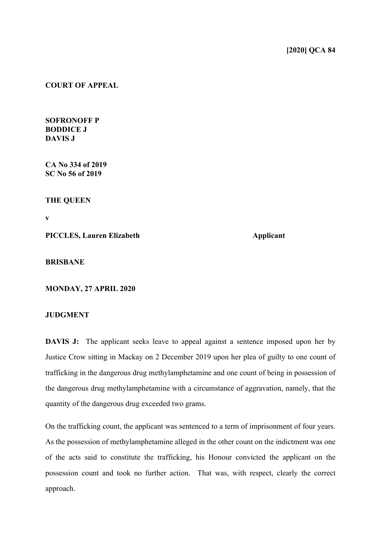## **COURT OF APPEAL**

**SOFRONOFF P BODDICE J DAVIS J**

**CA No 334 of 2019 SC No 56 of 2019**

**THE QUEEN**

**v**

**PICCLES, Lauren Elizabeth Applicant** 

**BRISBANE**

**MONDAY, 27 APRIL 2020**

## **JUDGMENT**

**DAVIS J:** The applicant seeks leave to appeal against a sentence imposed upon her by Justice Crow sitting in Mackay on 2 December 2019 upon her plea of guilty to one count of trafficking in the dangerous drug methylamphetamine and one count of being in possession of the dangerous drug methylamphetamine with a circumstance of aggravation, namely, that the quantity of the dangerous drug exceeded two grams.

On the trafficking count, the applicant was sentenced to a term of imprisonment of four years. As the possession of methylamphetamine alleged in the other count on the indictment was one of the acts said to constitute the trafficking, his Honour convicted the applicant on the possession count and took no further action. That was, with respect, clearly the correct approach.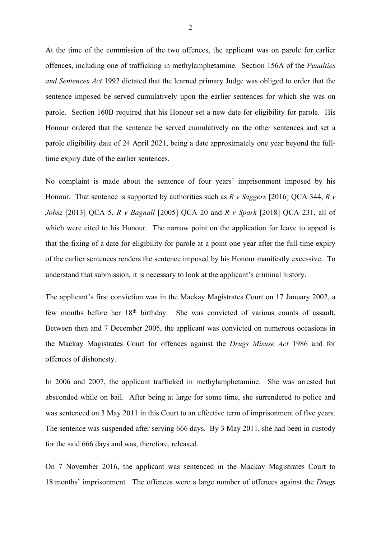At the time of the commission of the two offences, the applicant was on parole for earlier offences, including one of trafficking in methylamphetamine. Section 156A of the *Penalties and Sentences Act* 1992 dictated that the learned primary Judge was obliged to order that the sentence imposed be served cumulatively upon the earlier sentences for which she was on parole. Section 160B required that his Honour set a new date for eligibility for parole. His Honour ordered that the sentence be served cumulatively on the other sentences and set a parole eligibility date of 24 April 2021, being a date approximately one year beyond the fulltime expiry date of the earlier sentences.

No complaint is made about the sentence of four years' imprisonment imposed by his Honour. That sentence is supported by authorities such as *R v Saggers* [2016] QCA 344, *R v Jobsz* [2013] QCA 5, *R v Bagnall* [2005] QCA 20 and *R v Spark* [2018] QCA 231, all of which were cited to his Honour. The narrow point on the application for leave to appeal is that the fixing of a date for eligibility for parole at a point one year after the full-time expiry of the earlier sentences renders the sentence imposed by his Honour manifestly excessive. To understand that submission, it is necessary to look at the applicant's criminal history.

The applicant's first conviction was in the Mackay Magistrates Court on 17 January 2002, a few months before her 18th birthday. She was convicted of various counts of assault. Between then and 7 December 2005, the applicant was convicted on numerous occasions in the Mackay Magistrates Court for offences against the *Drugs Misuse Act* 1986 and for offences of dishonesty.

In 2006 and 2007, the applicant trafficked in methylamphetamine. She was arrested but absconded while on bail. After being at large for some time, she surrendered to police and was sentenced on 3 May 2011 in this Court to an effective term of imprisonment of five years. The sentence was suspended after serving 666 days. By 3 May 2011, she had been in custody for the said 666 days and was, therefore, released.

On 7 November 2016, the applicant was sentenced in the Mackay Magistrates Court to 18 months' imprisonment. The offences were a large number of offences against the *Drugs*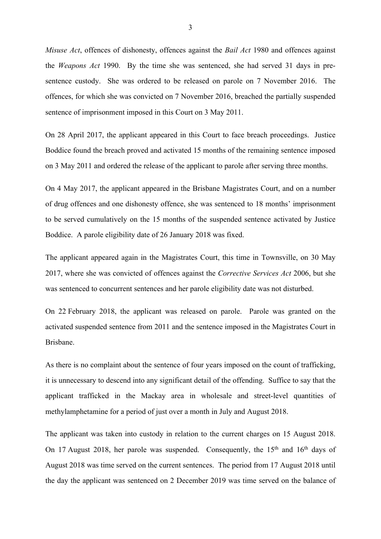*Misuse Act*, offences of dishonesty, offences against the *Bail Act* 1980 and offences against the *Weapons Act* 1990. By the time she was sentenced, she had served 31 days in presentence custody. She was ordered to be released on parole on 7 November 2016. The offences, for which she was convicted on 7 November 2016, breached the partially suspended sentence of imprisonment imposed in this Court on 3 May 2011.

On 28 April 2017, the applicant appeared in this Court to face breach proceedings. Justice Boddice found the breach proved and activated 15 months of the remaining sentence imposed on 3 May 2011 and ordered the release of the applicant to parole after serving three months.

On 4 May 2017, the applicant appeared in the Brisbane Magistrates Court, and on a number of drug offences and one dishonesty offence, she was sentenced to 18 months' imprisonment to be served cumulatively on the 15 months of the suspended sentence activated by Justice Boddice. A parole eligibility date of 26 January 2018 was fixed.

The applicant appeared again in the Magistrates Court, this time in Townsville, on 30 May 2017, where she was convicted of offences against the *Corrective Services Act* 2006, but she was sentenced to concurrent sentences and her parole eligibility date was not disturbed.

On 22 February 2018, the applicant was released on parole. Parole was granted on the activated suspended sentence from 2011 and the sentence imposed in the Magistrates Court in Brisbane.

As there is no complaint about the sentence of four years imposed on the count of trafficking, it is unnecessary to descend into any significant detail of the offending. Suffice to say that the applicant trafficked in the Mackay area in wholesale and street-level quantities of methylamphetamine for a period of just over a month in July and August 2018.

The applicant was taken into custody in relation to the current charges on 15 August 2018. On 17 August 2018, her parole was suspended. Consequently, the 15<sup>th</sup> and 16<sup>th</sup> days of August 2018 was time served on the current sentences. The period from 17 August 2018 until the day the applicant was sentenced on 2 December 2019 was time served on the balance of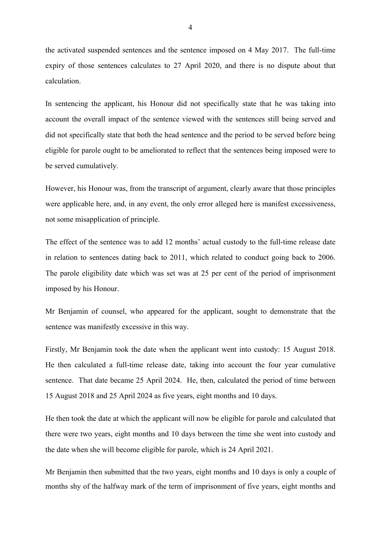the activated suspended sentences and the sentence imposed on 4 May 2017. The full-time expiry of those sentences calculates to 27 April 2020, and there is no dispute about that calculation.

In sentencing the applicant, his Honour did not specifically state that he was taking into account the overall impact of the sentence viewed with the sentences still being served and did not specifically state that both the head sentence and the period to be served before being eligible for parole ought to be ameliorated to reflect that the sentences being imposed were to be served cumulatively.

However, his Honour was, from the transcript of argument, clearly aware that those principles were applicable here, and, in any event, the only error alleged here is manifest excessiveness, not some misapplication of principle.

The effect of the sentence was to add 12 months' actual custody to the full-time release date in relation to sentences dating back to 2011, which related to conduct going back to 2006. The parole eligibility date which was set was at 25 per cent of the period of imprisonment imposed by his Honour.

Mr Benjamin of counsel, who appeared for the applicant, sought to demonstrate that the sentence was manifestly excessive in this way.

Firstly, Mr Benjamin took the date when the applicant went into custody: 15 August 2018. He then calculated a full-time release date, taking into account the four year cumulative sentence. That date became 25 April 2024. He, then, calculated the period of time between 15 August 2018 and 25 April 2024 as five years, eight months and 10 days.

He then took the date at which the applicant will now be eligible for parole and calculated that there were two years, eight months and 10 days between the time she went into custody and the date when she will become eligible for parole, which is 24 April 2021.

Mr Benjamin then submitted that the two years, eight months and 10 days is only a couple of months shy of the halfway mark of the term of imprisonment of five years, eight months and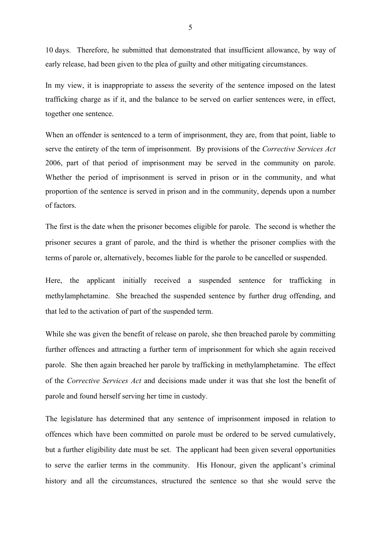10 days. Therefore, he submitted that demonstrated that insufficient allowance, by way of early release, had been given to the plea of guilty and other mitigating circumstances.

In my view, it is inappropriate to assess the severity of the sentence imposed on the latest trafficking charge as if it, and the balance to be served on earlier sentences were, in effect, together one sentence.

When an offender is sentenced to a term of imprisonment, they are, from that point, liable to serve the entirety of the term of imprisonment. By provisions of the *Corrective Services Act* 2006, part of that period of imprisonment may be served in the community on parole. Whether the period of imprisonment is served in prison or in the community, and what proportion of the sentence is served in prison and in the community, depends upon a number of factors.

The first is the date when the prisoner becomes eligible for parole. The second is whether the prisoner secures a grant of parole, and the third is whether the prisoner complies with the terms of parole or, alternatively, becomes liable for the parole to be cancelled or suspended.

Here, the applicant initially received a suspended sentence for trafficking in methylamphetamine. She breached the suspended sentence by further drug offending, and that led to the activation of part of the suspended term.

While she was given the benefit of release on parole, she then breached parole by committing further offences and attracting a further term of imprisonment for which she again received parole. She then again breached her parole by trafficking in methylamphetamine. The effect of the *Corrective Services Act* and decisions made under it was that she lost the benefit of parole and found herself serving her time in custody.

The legislature has determined that any sentence of imprisonment imposed in relation to offences which have been committed on parole must be ordered to be served cumulatively, but a further eligibility date must be set. The applicant had been given several opportunities to serve the earlier terms in the community. His Honour, given the applicant's criminal history and all the circumstances, structured the sentence so that she would serve the